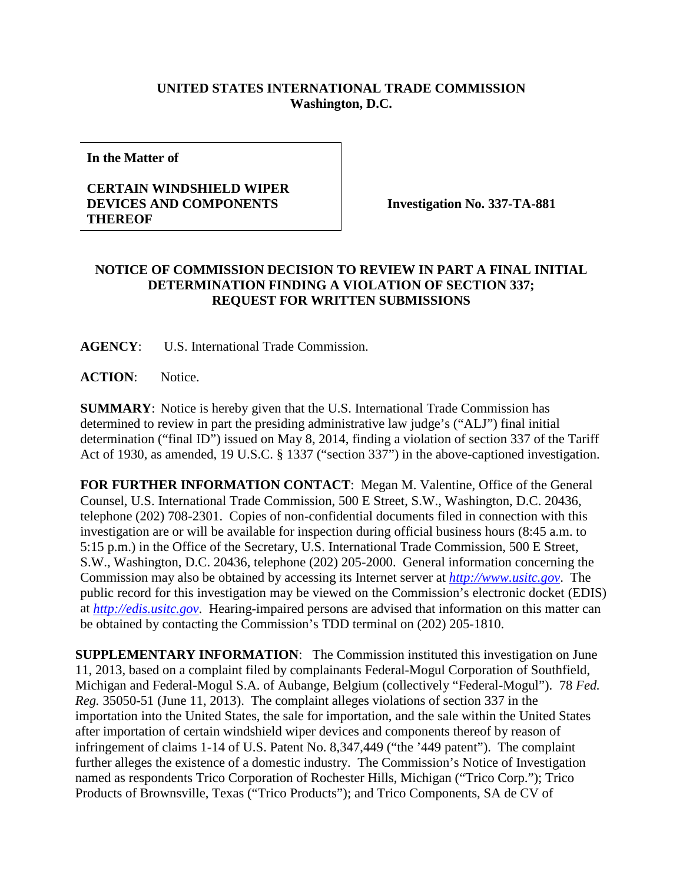## **UNITED STATES INTERNATIONAL TRADE COMMISSION Washington, D.C.**

**In the Matter of**

## **CERTAIN WINDSHIELD WIPER DEVICES AND COMPONENTS THEREOF**

**Investigation No. 337-TA-881**

## **NOTICE OF COMMISSION DECISION TO REVIEW IN PART A FINAL INITIAL DETERMINATION FINDING A VIOLATION OF SECTION 337; REQUEST FOR WRITTEN SUBMISSIONS**

**AGENCY**: U.S. International Trade Commission.

**ACTION**: Notice.

**SUMMARY**: Notice is hereby given that the U.S. International Trade Commission has determined to review in part the presiding administrative law judge's ("ALJ") final initial determination ("final ID") issued on May 8, 2014, finding a violation of section 337 of the Tariff Act of 1930, as amended, 19 U.S.C. § 1337 ("section 337") in the above-captioned investigation.

**FOR FURTHER INFORMATION CONTACT**: Megan M. Valentine, Office of the General Counsel, U.S. International Trade Commission, 500 E Street, S.W., Washington, D.C. 20436, telephone (202) 708-2301. Copies of non-confidential documents filed in connection with this investigation are or will be available for inspection during official business hours (8:45 a.m. to 5:15 p.m.) in the Office of the Secretary, U.S. International Trade Commission, 500 E Street, S.W., Washington, D.C. 20436, telephone (202) 205-2000. General information concerning the Commission may also be obtained by accessing its Internet server at *[http://www.usitc.gov](http://www.usitc.gov/)*. The public record for this investigation may be viewed on the Commission's electronic docket (EDIS) at *[http://edis.usitc.gov](http://edis.usitc.gov/)*. Hearing-impaired persons are advised that information on this matter can be obtained by contacting the Commission's TDD terminal on (202) 205-1810.

**SUPPLEMENTARY INFORMATION**: The Commission instituted this investigation on June 11, 2013, based on a complaint filed by complainants Federal-Mogul Corporation of Southfield, Michigan and Federal-Mogul S.A. of Aubange, Belgium (collectively "Federal-Mogul"). 78 *Fed. Reg.* 35050-51 (June 11, 2013). The complaint alleges violations of section 337 in the importation into the United States, the sale for importation, and the sale within the United States after importation of certain windshield wiper devices and components thereof by reason of infringement of claims 1-14 of U.S. Patent No. 8,347,449 ("the '449 patent"). The complaint further alleges the existence of a domestic industry. The Commission's Notice of Investigation named as respondents Trico Corporation of Rochester Hills, Michigan ("Trico Corp."); Trico Products of Brownsville, Texas ("Trico Products"); and Trico Components, SA de CV of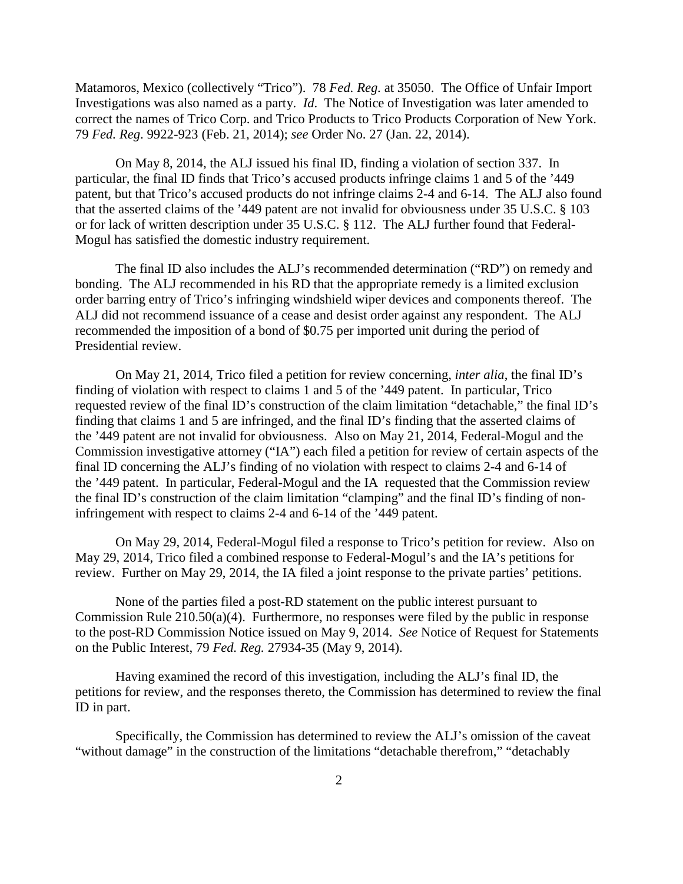Matamoros, Mexico (collectively "Trico"). 78 *Fed. Reg.* at 35050. The Office of Unfair Import Investigations was also named as a party. *Id*. The Notice of Investigation was later amended to correct the names of Trico Corp. and Trico Products to Trico Products Corporation of New York. 79 *Fed. Reg*. 9922-923 (Feb. 21, 2014); *see* Order No. 27 (Jan. 22, 2014).

On May 8, 2014, the ALJ issued his final ID, finding a violation of section 337. In particular, the final ID finds that Trico's accused products infringe claims 1 and 5 of the '449 patent, but that Trico's accused products do not infringe claims 2-4 and 6-14. The ALJ also found that the asserted claims of the '449 patent are not invalid for obviousness under 35 U.S.C. § 103 or for lack of written description under 35 U.S.C. § 112. The ALJ further found that Federal-Mogul has satisfied the domestic industry requirement.

The final ID also includes the ALJ's recommended determination ("RD") on remedy and bonding. The ALJ recommended in his RD that the appropriate remedy is a limited exclusion order barring entry of Trico's infringing windshield wiper devices and components thereof. The ALJ did not recommend issuance of a cease and desist order against any respondent. The ALJ recommended the imposition of a bond of \$0.75 per imported unit during the period of Presidential review.

On May 21, 2014, Trico filed a petition for review concerning, *inter alia*, the final ID's finding of violation with respect to claims 1 and 5 of the '449 patent.In particular, Trico requested review of the final ID's construction of the claim limitation "detachable," the final ID's finding that claims 1 and 5 are infringed, and the final ID's finding that the asserted claims of the '449 patent are not invalid for obviousness. Also on May 21, 2014, Federal-Mogul and the Commission investigative attorney ("IA") each filed a petition for review of certain aspects of the final ID concerning the ALJ's finding of no violation with respect to claims 2-4 and 6-14 of the '449 patent. In particular, Federal-Mogul and the IA requested that the Commission review the final ID's construction of the claim limitation "clamping" and the final ID's finding of noninfringement with respect to claims 2-4 and 6-14 of the '449 patent.

On May 29, 2014, Federal-Mogul filed a response to Trico's petition for review. Also on May 29, 2014, Trico filed a combined response to Federal-Mogul's and the IA's petitions for review. Further on May 29, 2014, the IA filed a joint response to the private parties' petitions.

None of the parties filed a post-RD statement on the public interest pursuant to Commission Rule 210.50(a)(4). Furthermore, no responses were filed by the public in response to the post-RD Commission Notice issued on May 9, 2014. *See* Notice of Request for Statements on the Public Interest, 79 *Fed. Reg.* 27934-35 (May 9, 2014).

Having examined the record of this investigation, including the ALJ's final ID, the petitions for review, and the responses thereto, the Commission has determined to review the final ID in part.

Specifically, the Commission has determined to review the ALJ's omission of the caveat "without damage" in the construction of the limitations "detachable therefrom," "detachably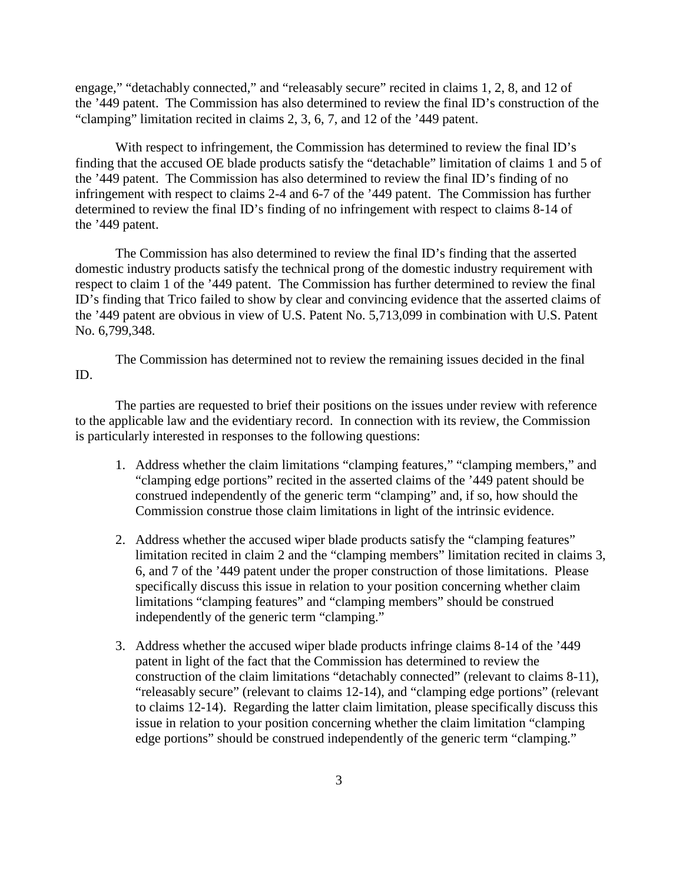engage," "detachably connected," and "releasably secure" recited in claims 1, 2, 8, and 12 of the '449 patent. The Commission has also determined to review the final ID's construction of the "clamping" limitation recited in claims 2, 3, 6, 7, and 12 of the '449 patent.

With respect to infringement, the Commission has determined to review the final ID's finding that the accused OE blade products satisfy the "detachable" limitation of claims 1 and 5 of the '449 patent. The Commission has also determined to review the final ID's finding of no infringement with respect to claims 2-4 and 6-7 of the '449 patent. The Commission has further determined to review the final ID's finding of no infringement with respect to claims 8-14 of the '449 patent.

The Commission has also determined to review the final ID's finding that the asserted domestic industry products satisfy the technical prong of the domestic industry requirement with respect to claim 1 of the '449 patent. The Commission has further determined to review the final ID's finding that Trico failed to show by clear and convincing evidence that the asserted claims of the '449 patent are obvious in view of U.S. Patent No. 5,713,099 in combination with U.S. Patent No. 6,799,348.

The Commission has determined not to review the remaining issues decided in the final ID.

The parties are requested to brief their positions on the issues under review with reference to the applicable law and the evidentiary record. In connection with its review, the Commission is particularly interested in responses to the following questions:

- 1. Address whether the claim limitations "clamping features," "clamping members," and "clamping edge portions" recited in the asserted claims of the '449 patent should be construed independently of the generic term "clamping" and, if so, how should the Commission construe those claim limitations in light of the intrinsic evidence.
- 2. Address whether the accused wiper blade products satisfy the "clamping features" limitation recited in claim 2 and the "clamping members" limitation recited in claims 3, 6, and 7 of the '449 patent under the proper construction of those limitations. Please specifically discuss this issue in relation to your position concerning whether claim limitations "clamping features" and "clamping members" should be construed independently of the generic term "clamping."
- 3. Address whether the accused wiper blade products infringe claims 8-14 of the '449 patent in light of the fact that the Commission has determined to review the construction of the claim limitations "detachably connected" (relevant to claims 8-11), "releasably secure" (relevant to claims 12-14), and "clamping edge portions" (relevant to claims 12-14). Regarding the latter claim limitation, please specifically discuss this issue in relation to your position concerning whether the claim limitation "clamping edge portions" should be construed independently of the generic term "clamping."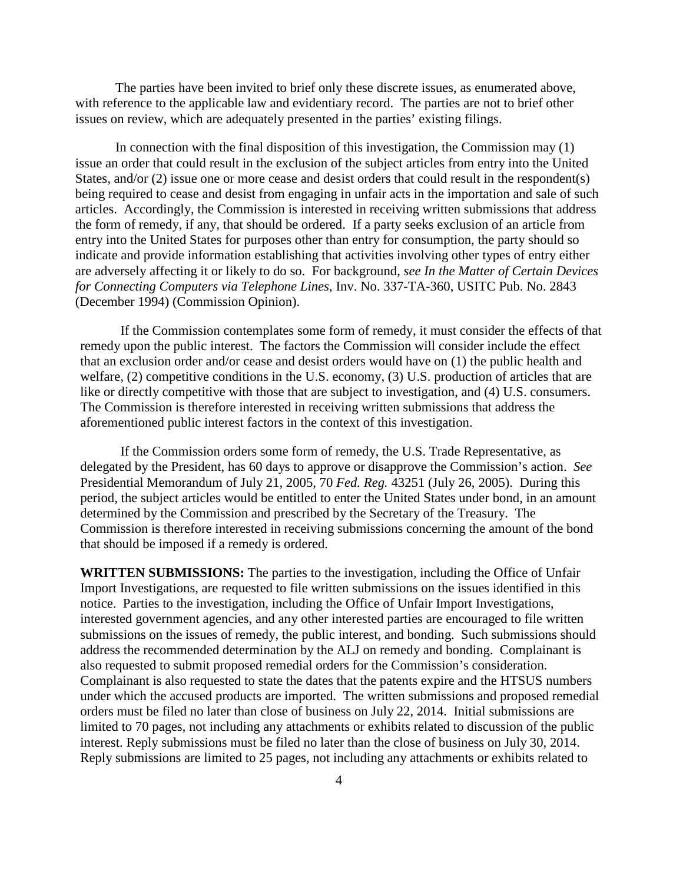The parties have been invited to brief only these discrete issues, as enumerated above, with reference to the applicable law and evidentiary record. The parties are not to brief other issues on review, which are adequately presented in the parties' existing filings.

In connection with the final disposition of this investigation, the Commission may (1) issue an order that could result in the exclusion of the subject articles from entry into the United States, and/or (2) issue one or more cease and desist orders that could result in the respondent(s) being required to cease and desist from engaging in unfair acts in the importation and sale of such articles. Accordingly, the Commission is interested in receiving written submissions that address the form of remedy, if any, that should be ordered. If a party seeks exclusion of an article from entry into the United States for purposes other than entry for consumption, the party should so indicate and provide information establishing that activities involving other types of entry either are adversely affecting it or likely to do so. For background, *see In the Matter of Certain Devices for Connecting Computers via Telephone Lines*, Inv. No. 337-TA-360, USITC Pub. No. 2843 (December 1994) (Commission Opinion).

If the Commission contemplates some form of remedy, it must consider the effects of that remedy upon the public interest. The factors the Commission will consider include the effect that an exclusion order and/or cease and desist orders would have on (1) the public health and welfare, (2) competitive conditions in the U.S. economy, (3) U.S. production of articles that are like or directly competitive with those that are subject to investigation, and (4) U.S. consumers. The Commission is therefore interested in receiving written submissions that address the aforementioned public interest factors in the context of this investigation.

If the Commission orders some form of remedy, the U.S. Trade Representative, as delegated by the President, has 60 days to approve or disapprove the Commission's action. *See*  Presidential Memorandum of July 21, 2005, 70 *Fed. Reg.* 43251 (July 26, 2005). During this period, the subject articles would be entitled to enter the United States under bond, in an amount determined by the Commission and prescribed by the Secretary of the Treasury. The Commission is therefore interested in receiving submissions concerning the amount of the bond that should be imposed if a remedy is ordered.

**WRITTEN SUBMISSIONS:** The parties to the investigation, including the Office of Unfair Import Investigations, are requested to file written submissions on the issues identified in this notice. Parties to the investigation, including the Office of Unfair Import Investigations, interested government agencies, and any other interested parties are encouraged to file written submissions on the issues of remedy, the public interest, and bonding. Such submissions should address the recommended determination by the ALJ on remedy and bonding. Complainant is also requested to submit proposed remedial orders for the Commission's consideration. Complainant is also requested to state the dates that the patents expire and the HTSUS numbers under which the accused products are imported. The written submissions and proposed remedial orders must be filed no later than close of business on July 22, 2014. Initial submissions are limited to 70 pages, not including any attachments or exhibits related to discussion of the public interest. Reply submissions must be filed no later than the close of business on July 30, 2014. Reply submissions are limited to 25 pages, not including any attachments or exhibits related to